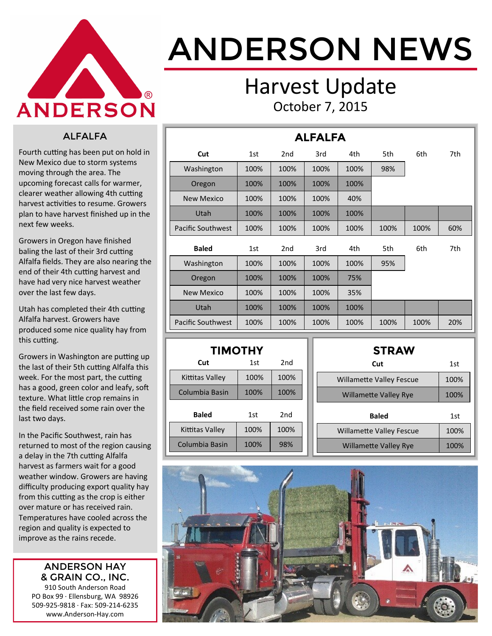

# ANDERSON NEWS

### Harvest Update October 7, 2015

#### ALFALFA

Fourth cutting has been put on hold in New Mexico due to storm systems moving through the area. The upcoming forecast calls for warmer, clearer weather allowing 4th cutting harvest activities to resume. Growers plan to have harvest finished up in the next few weeks.

Growers in Oregon have finished baling the last of their 3rd cutting Alfalfa fields. They are also nearing the end of their 4th cutting harvest and have had very nice harvest weather over the last few days.

Utah has completed their 4th cutting Alfalfa harvest. Growers have produced some nice quality hay from this cutting.

Growers in Washington are putting up the last of their 5th cutting Alfalfa this week. For the most part, the cutting has a good, green color and leafy, soft texture. What little crop remains in the field received some rain over the last two days.

In the Pacific Southwest, rain has returned to most of the region causing a delay in the 7th cutting Alfalfa harvest as farmers wait for a good weather window. Growers are having difficulty producing export quality hay from this cutting as the crop is either over mature or has received rain. Temperatures have cooled across the region and quality is expected to improve as the rains recede.

#### ANDERSON HAY & GRAIN CO., INC.

910 South Anderson Road PO Box 99 · Ellensburg, WA 98926 509-925-9818 · Fax: 509-214-6235 www.Anderson-Hay.com

| <b>ALFALFA</b>           |      |                 |      |      |      |      |     |  |  |
|--------------------------|------|-----------------|------|------|------|------|-----|--|--|
| Cut                      | 1st  | 2 <sub>nd</sub> | 3rd  | 4th  | 5th  | 6th  | 7th |  |  |
| Washington               | 100% | 100%            | 100% | 100% | 98%  |      |     |  |  |
| Oregon                   | 100% | 100%            | 100% | 100% |      |      |     |  |  |
| <b>New Mexico</b>        | 100% | 100%            | 100% | 40%  |      |      |     |  |  |
| Utah                     | 100% | 100%            | 100% | 100% |      |      |     |  |  |
| <b>Pacific Southwest</b> | 100% | 100%            | 100% | 100% | 100% | 100% | 60% |  |  |
| <b>Baled</b>             | 1st  | 2 <sub>nd</sub> | 3rd  | 4th  | 5th  | 6th  | 7th |  |  |
| Washington               | 100% | 100%            | 100% | 100% | 95%  |      |     |  |  |
| Oregon                   | 100% | 100%            | 100% | 75%  |      |      |     |  |  |
| <b>New Mexico</b>        | 100% | 100%            | 100% | 35%  |      |      |     |  |  |
| Utah                     | 100% | 100%            | 100% | 100% |      |      |     |  |  |
| <b>Pacific Southwest</b> | 100% | 100%            | 100% | 100% | 100% | 100% | 20% |  |  |

| <b>TIMOTHY</b>  |      |      |  |  |  |  |  |  |
|-----------------|------|------|--|--|--|--|--|--|
| Cut             | 1st  | 2nd  |  |  |  |  |  |  |
| Kittitas Valley | 100% | 100% |  |  |  |  |  |  |
| Columbia Basin  | 100% | 100% |  |  |  |  |  |  |
| Baled           | 1st  | 2nd  |  |  |  |  |  |  |
| Kittitas Valley | 100% | 100% |  |  |  |  |  |  |
| Columbia Basin  | 100% | 98%  |  |  |  |  |  |  |

| <b>STRAW</b>                    |      |
|---------------------------------|------|
| Cut                             | 1st  |
| <b>Willamette Valley Fescue</b> | 100% |
| <b>Willamette Valley Rye</b>    | 100% |
|                                 |      |
| <b>Baled</b>                    | 1st  |
| <b>Willamette Valley Fescue</b> | 100% |